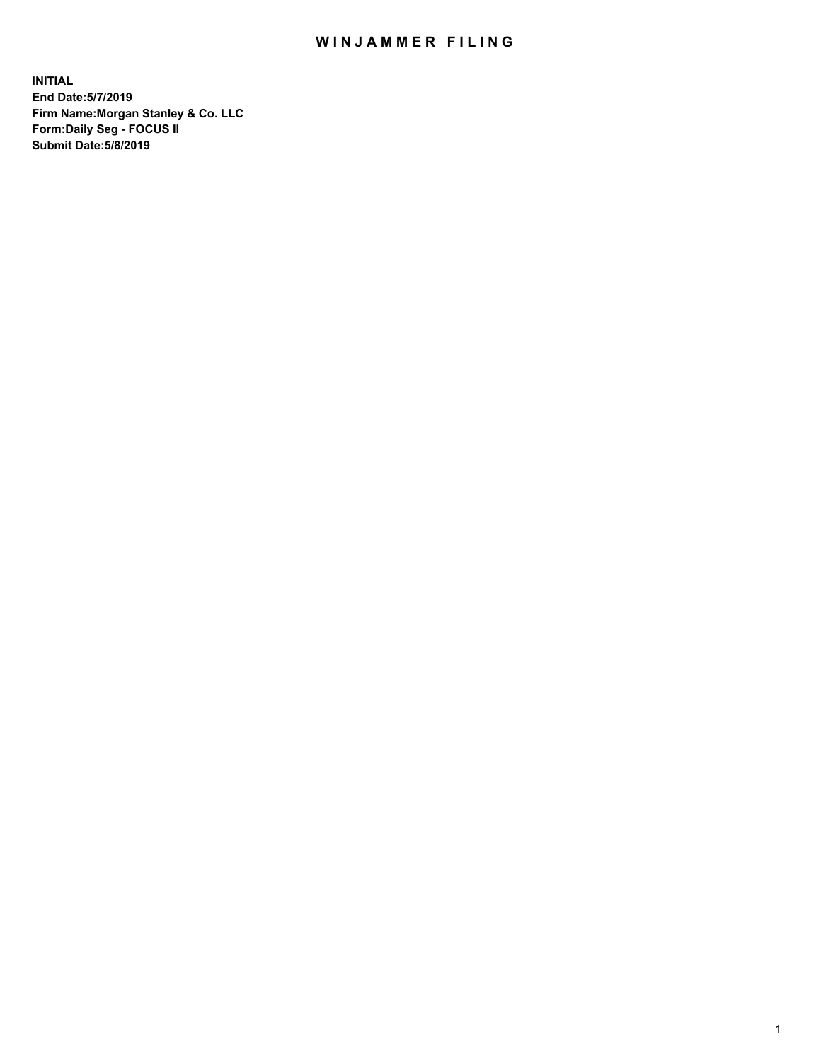## WIN JAMMER FILING

**INITIAL End Date:5/7/2019 Firm Name:Morgan Stanley & Co. LLC Form:Daily Seg - FOCUS II Submit Date:5/8/2019**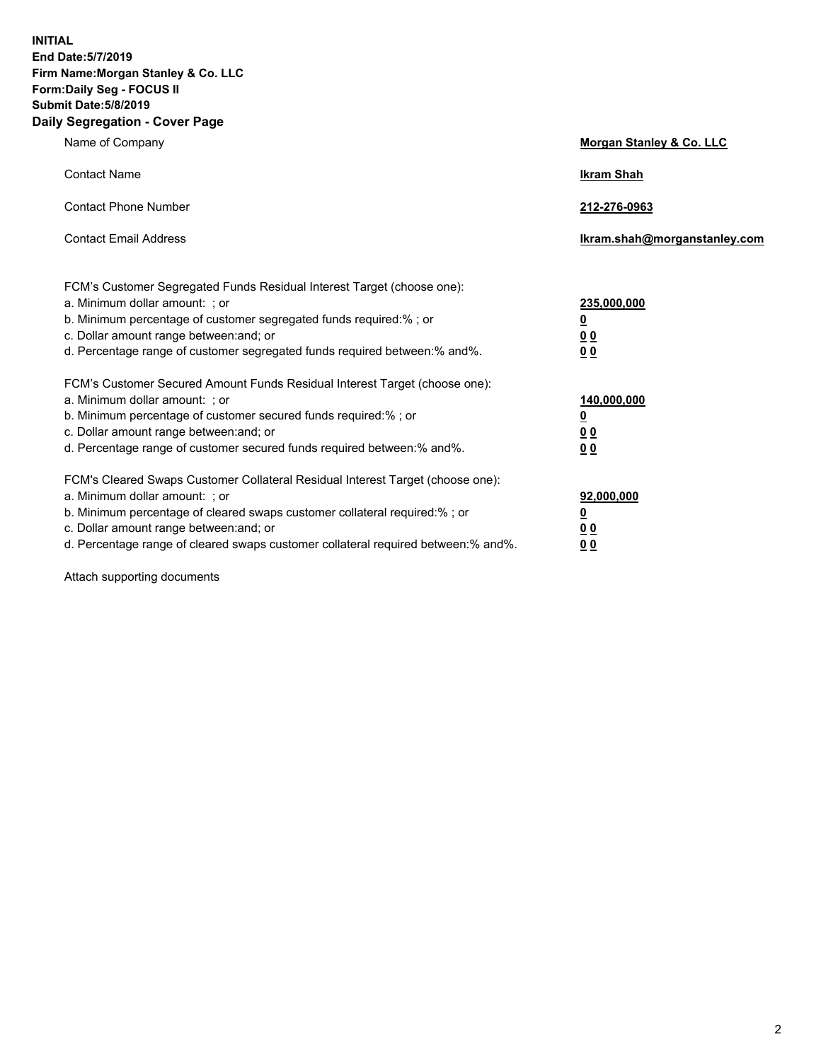**INITIAL End Date:5/7/2019 Firm Name:Morgan Stanley & Co. LLC Form:Daily Seg - FOCUS II Submit Date:5/8/2019 Daily Segregation - Cover Page**

| Name of Company                                                                                                                                                                                                                                                                                                                | Morgan Stanley & Co. LLC                                    |
|--------------------------------------------------------------------------------------------------------------------------------------------------------------------------------------------------------------------------------------------------------------------------------------------------------------------------------|-------------------------------------------------------------|
| <b>Contact Name</b>                                                                                                                                                                                                                                                                                                            | <b>Ikram Shah</b>                                           |
| <b>Contact Phone Number</b>                                                                                                                                                                                                                                                                                                    | 212-276-0963                                                |
| <b>Contact Email Address</b>                                                                                                                                                                                                                                                                                                   | Ikram.shah@morganstanley.com                                |
| FCM's Customer Segregated Funds Residual Interest Target (choose one):<br>a. Minimum dollar amount: ; or<br>b. Minimum percentage of customer segregated funds required:% ; or<br>c. Dollar amount range between: and; or<br>d. Percentage range of customer segregated funds required between:% and%.                         | 235,000,000<br><u>0</u><br>0 <sub>0</sub><br>00             |
| FCM's Customer Secured Amount Funds Residual Interest Target (choose one):<br>a. Minimum dollar amount: ; or<br>b. Minimum percentage of customer secured funds required:% ; or<br>c. Dollar amount range between: and; or<br>d. Percentage range of customer secured funds required between:% and%.                           | 140,000,000<br><u>0</u><br>0 <sub>0</sub><br>0 <sub>0</sub> |
| FCM's Cleared Swaps Customer Collateral Residual Interest Target (choose one):<br>a. Minimum dollar amount: ; or<br>b. Minimum percentage of cleared swaps customer collateral required:% ; or<br>c. Dollar amount range between: and; or<br>d. Percentage range of cleared swaps customer collateral required between:% and%. | 92,000,000<br><u>0</u><br>0 Q<br>0 <sub>0</sub>             |

Attach supporting documents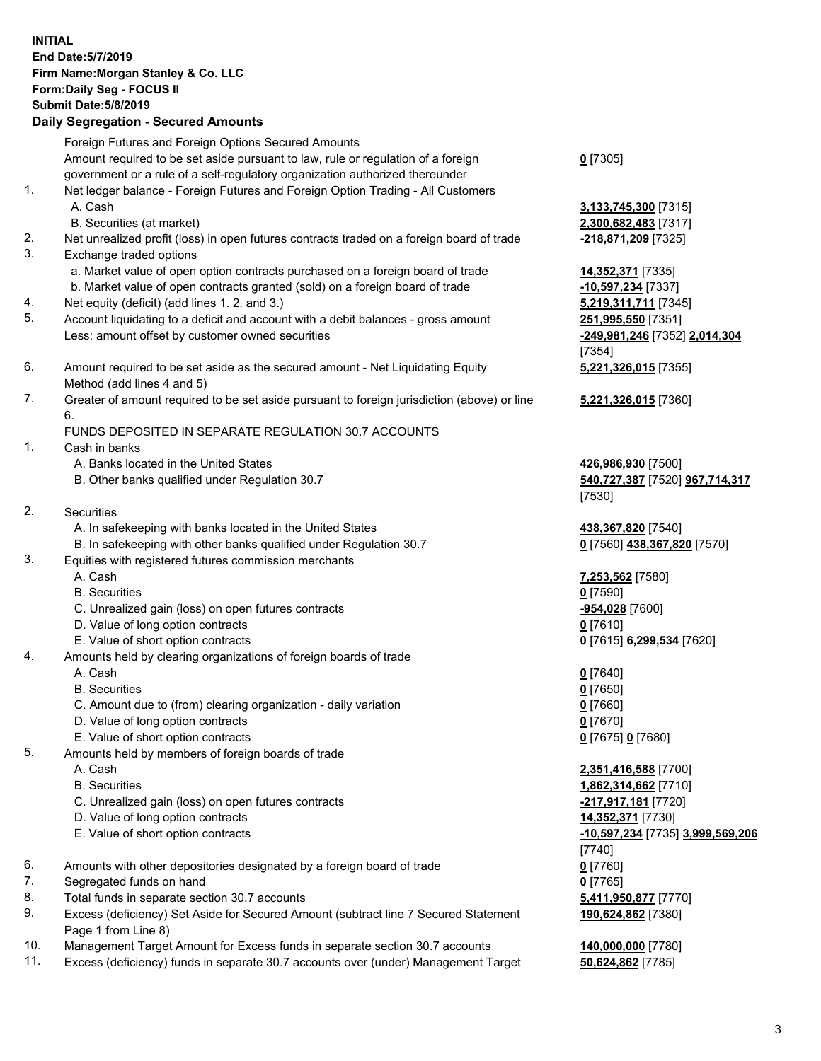| <b>INITIAL</b> | End Date: 5/7/2019<br>Firm Name: Morgan Stanley & Co. LLC<br>Form: Daily Seg - FOCUS II<br><b>Submit Date: 5/8/2019</b><br><b>Daily Segregation - Secured Amounts</b> |                                                     |
|----------------|-----------------------------------------------------------------------------------------------------------------------------------------------------------------------|-----------------------------------------------------|
|                | Foreign Futures and Foreign Options Secured Amounts                                                                                                                   |                                                     |
|                | Amount required to be set aside pursuant to law, rule or regulation of a foreign                                                                                      | $0$ [7305]                                          |
| 1.             | government or a rule of a self-regulatory organization authorized thereunder<br>Net ledger balance - Foreign Futures and Foreign Option Trading - All Customers       |                                                     |
|                | A. Cash                                                                                                                                                               | 3,133,745,300 [7315]                                |
|                | B. Securities (at market)                                                                                                                                             | 2,300,682,483 [7317]                                |
| 2.             | Net unrealized profit (loss) in open futures contracts traded on a foreign board of trade                                                                             | -218,871,209 [7325]                                 |
| 3.             | Exchange traded options                                                                                                                                               |                                                     |
|                | a. Market value of open option contracts purchased on a foreign board of trade                                                                                        | 14,352,371 [7335]                                   |
|                | b. Market value of open contracts granted (sold) on a foreign board of trade<br>Net equity (deficit) (add lines 1.2. and 3.)                                          | -10,597,234 [7337]                                  |
| 4.<br>5.       | Account liquidating to a deficit and account with a debit balances - gross amount                                                                                     | 5,219,311,711 [7345]<br>251,995,550 [7351]          |
|                | Less: amount offset by customer owned securities                                                                                                                      | -249,981,246 [7352] 2,014,304                       |
|                |                                                                                                                                                                       | [7354]                                              |
| 6.             | Amount required to be set aside as the secured amount - Net Liquidating Equity                                                                                        | 5,221,326,015 [7355]                                |
|                | Method (add lines 4 and 5)                                                                                                                                            |                                                     |
| 7.             | Greater of amount required to be set aside pursuant to foreign jurisdiction (above) or line                                                                           | 5,221,326,015 [7360]                                |
|                | 6.<br>FUNDS DEPOSITED IN SEPARATE REGULATION 30.7 ACCOUNTS                                                                                                            |                                                     |
| 1.             | Cash in banks                                                                                                                                                         |                                                     |
|                | A. Banks located in the United States                                                                                                                                 | 426,986,930 [7500]                                  |
|                | B. Other banks qualified under Regulation 30.7                                                                                                                        | 540,727,387 [7520] 967,714,317                      |
|                |                                                                                                                                                                       | [7530]                                              |
| 2.             | Securities                                                                                                                                                            |                                                     |
|                | A. In safekeeping with banks located in the United States<br>B. In safekeeping with other banks qualified under Regulation 30.7                                       | 438, 367, 820 [7540]<br>0 [7560] 438,367,820 [7570] |
| 3.             | Equities with registered futures commission merchants                                                                                                                 |                                                     |
|                | A. Cash                                                                                                                                                               | 7,253,562 [7580]                                    |
|                | <b>B.</b> Securities                                                                                                                                                  | $0$ [7590]                                          |
|                | C. Unrealized gain (loss) on open futures contracts                                                                                                                   | -954,028 [7600]                                     |
|                | D. Value of long option contracts                                                                                                                                     | $0$ [7610]                                          |
|                | E. Value of short option contracts                                                                                                                                    | <u>0</u> [7615] <b>6,299,534</b> [7620]             |
| 4.             | Amounts held by clearing organizations of foreign boards of trade<br>A. Cash                                                                                          | $0$ [7640]                                          |
|                | <b>B.</b> Securities                                                                                                                                                  | $0$ [7650]                                          |
|                | C. Amount due to (from) clearing organization - daily variation                                                                                                       | $0$ [7660]                                          |
|                | D. Value of long option contracts                                                                                                                                     | $0$ [7670]                                          |
|                | E. Value of short option contracts                                                                                                                                    | 0 [7675] 0 [7680]                                   |
| 5.             | Amounts held by members of foreign boards of trade                                                                                                                    |                                                     |
|                | A. Cash<br><b>B.</b> Securities                                                                                                                                       | 2,351,416,588 [7700]<br>1,862,314,662 [7710]        |
|                | C. Unrealized gain (loss) on open futures contracts                                                                                                                   | -217,917,181 [7720]                                 |
|                | D. Value of long option contracts                                                                                                                                     | 14,352,371 [7730]                                   |
|                | E. Value of short option contracts                                                                                                                                    | -10,597,234 [7735] 3,999,569,206                    |
|                |                                                                                                                                                                       | $[7740]$                                            |
| 6.             | Amounts with other depositories designated by a foreign board of trade                                                                                                | $0$ [7760]                                          |
| 7.             | Segregated funds on hand                                                                                                                                              | $0$ [7765]                                          |
| 8.<br>9.       | Total funds in separate section 30.7 accounts<br>Excess (deficiency) Set Aside for Secured Amount (subtract line 7 Secured Statement                                  | 5,411,950,877 [7770]                                |
|                | Page 1 from Line 8)                                                                                                                                                   | 190,624,862 [7380]                                  |

- 10. Management Target Amount for Excess funds in separate section 30.7 accounts **140,000,000** [7780]
- 11. Excess (deficiency) funds in separate 30.7 accounts over (under) Management Target **50,624,862** [7785]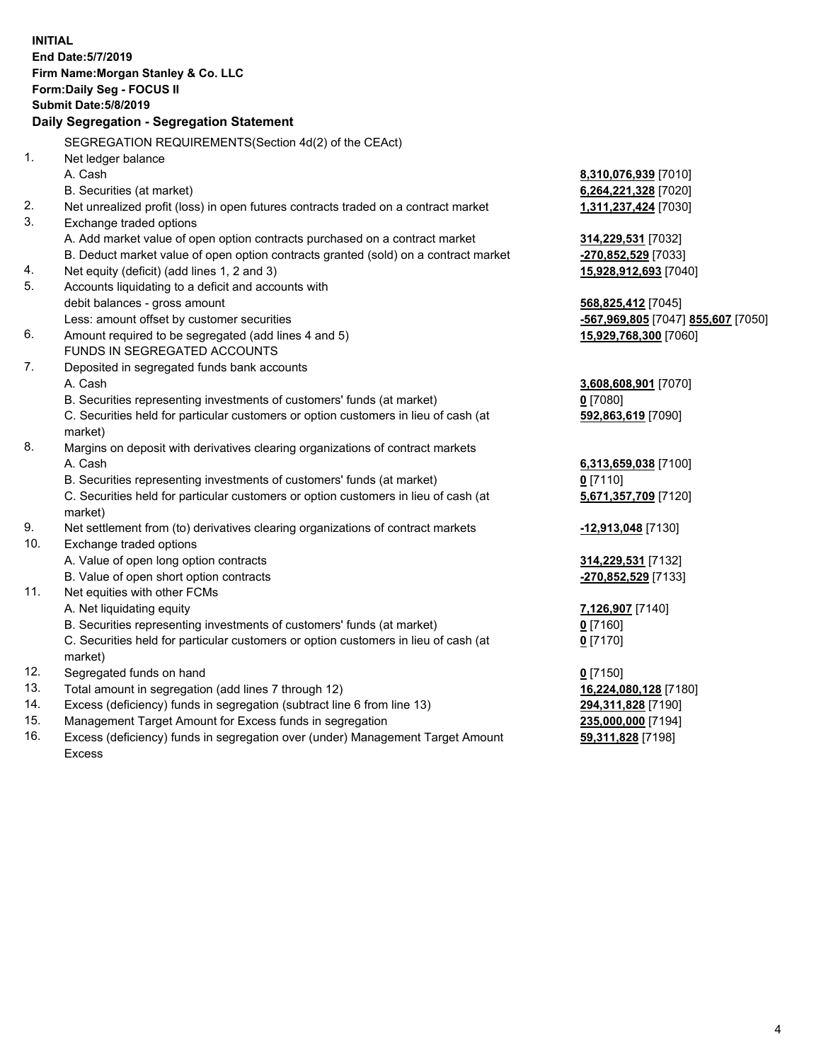|     | <b>INITIAL</b>                                                                                                |                                              |
|-----|---------------------------------------------------------------------------------------------------------------|----------------------------------------------|
|     | End Date: 5/7/2019                                                                                            |                                              |
|     | Firm Name: Morgan Stanley & Co. LLC                                                                           |                                              |
|     | Form: Daily Seg - FOCUS II                                                                                    |                                              |
|     | <b>Submit Date: 5/8/2019</b>                                                                                  |                                              |
|     | Daily Segregation - Segregation Statement                                                                     |                                              |
|     | SEGREGATION REQUIREMENTS(Section 4d(2) of the CEAct)                                                          |                                              |
| 1.  | Net ledger balance                                                                                            |                                              |
|     | A. Cash                                                                                                       |                                              |
|     | B. Securities (at market)                                                                                     | 8,310,076,939 [7010]<br>6,264,221,328 [7020] |
| 2.  |                                                                                                               | 1,311,237,424 [7030]                         |
| 3.  | Net unrealized profit (loss) in open futures contracts traded on a contract market<br>Exchange traded options |                                              |
|     | A. Add market value of open option contracts purchased on a contract market                                   |                                              |
|     | B. Deduct market value of open option contracts granted (sold) on a contract market                           | 314,229,531 [7032]<br>-270,852,529 [7033]    |
| 4.  | Net equity (deficit) (add lines 1, 2 and 3)                                                                   | 15,928,912,693 [7040]                        |
| 5.  | Accounts liquidating to a deficit and accounts with                                                           |                                              |
|     | debit balances - gross amount                                                                                 | 568,825,412 [7045]                           |
|     | Less: amount offset by customer securities                                                                    | -567,969,805 [7047] 855,607 [7050]           |
| 6.  | Amount required to be segregated (add lines 4 and 5)                                                          | 15,929,768,300 [7060]                        |
|     | FUNDS IN SEGREGATED ACCOUNTS                                                                                  |                                              |
| 7.  | Deposited in segregated funds bank accounts                                                                   |                                              |
|     | A. Cash                                                                                                       | 3,608,608,901 [7070]                         |
|     | B. Securities representing investments of customers' funds (at market)                                        | $0$ [7080]                                   |
|     | C. Securities held for particular customers or option customers in lieu of cash (at                           | 592,863,619 [7090]                           |
|     | market)                                                                                                       |                                              |
| 8.  | Margins on deposit with derivatives clearing organizations of contract markets                                |                                              |
|     | A. Cash                                                                                                       | 6,313,659,038 [7100]                         |
|     | B. Securities representing investments of customers' funds (at market)                                        | $0$ [7110]                                   |
|     | C. Securities held for particular customers or option customers in lieu of cash (at                           | 5,671,357,709 [7120]                         |
|     | market)                                                                                                       |                                              |
| 9.  | Net settlement from (to) derivatives clearing organizations of contract markets                               | -12,913,048 [7130]                           |
| 10. | Exchange traded options                                                                                       |                                              |
|     | A. Value of open long option contracts                                                                        | 314,229,531 [7132]                           |
|     | B. Value of open short option contracts                                                                       | -270,852,529 [7133]                          |
| 11. | Net equities with other FCMs                                                                                  |                                              |
|     | A. Net liquidating equity                                                                                     | 7,126,907 [7140]                             |
|     | B. Securities representing investments of customers' funds (at market)                                        | 0 <sup>[7160]</sup>                          |
|     | C. Securities held for particular customers or option customers in lieu of cash (at                           | $0$ [7170]                                   |
|     | market)                                                                                                       |                                              |
| 12. | Segregated funds on hand                                                                                      | $0$ [7150]                                   |
| 13. | Total amount in segregation (add lines 7 through 12)                                                          | 16,224,080,128 [7180]                        |
| 14. | Excess (deficiency) funds in segregation (subtract line 6 from line 13)                                       | 294,311,828 [7190]                           |
| 15. | Management Target Amount for Excess funds in segregation                                                      | 235,000,000 [7194]                           |
| 16. | Excess (deficiency) funds in segregation over (under) Management Target Amount                                | 59,311,828 [7198]                            |

16. Excess (deficiency) funds in segregation over (under) Management Target Amount Excess